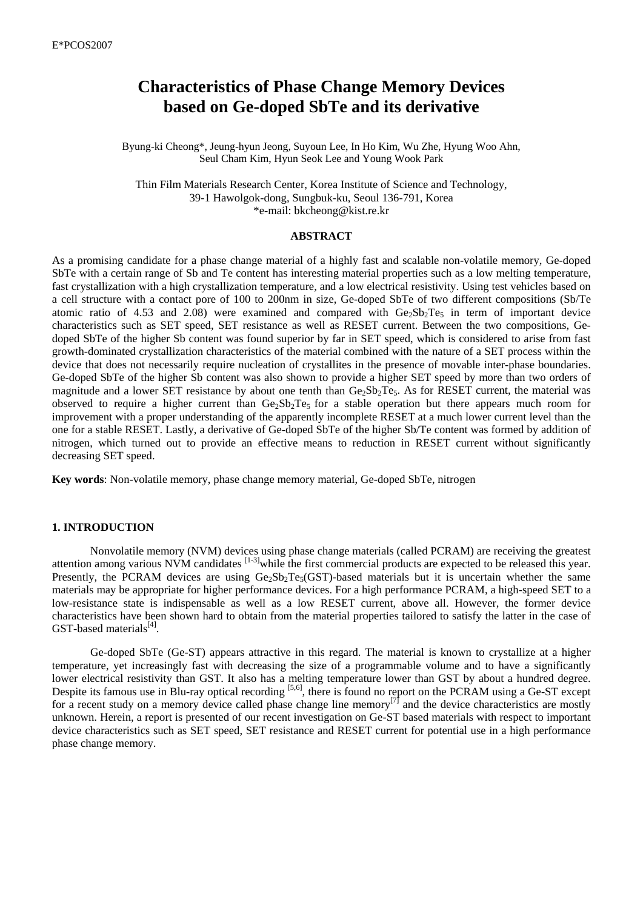# **Characteristics of Phase Change Memory Devices based on Ge-doped SbTe and its derivative**

Byung-ki Cheong\*, Jeung-hyun Jeong, Suyoun Lee, In Ho Kim, Wu Zhe, Hyung Woo Ahn, Seul Cham Kim, Hyun Seok Lee and Young Wook Park

Thin Film Materials Research Center, Korea Institute of Science and Technology, 39-1 Hawolgok-dong, Sungbuk-ku, Seoul 136-791, Korea \*e-mail: bkcheong@kist.re.kr

#### **ABSTRACT**

As a promising candidate for a phase change material of a highly fast and scalable non-volatile memory, Ge-doped SbTe with a certain range of Sb and Te content has interesting material properties such as a low melting temperature, fast crystallization with a high crystallization temperature, and a low electrical resistivity. Using test vehicles based on a cell structure with a contact pore of 100 to 200nm in size, Ge-doped SbTe of two different compositions (Sb/Te atomic ratio of 4.53 and 2.08) were examined and compared with  $Ge_2Sb_2Te_5$  in term of important device characteristics such as SET speed, SET resistance as well as RESET current. Between the two compositions, Gedoped SbTe of the higher Sb content was found superior by far in SET speed, which is considered to arise from fast growth-dominated crystallization characteristics of the material combined with the nature of a SET process within the device that does not necessarily require nucleation of crystallites in the presence of movable inter-phase boundaries. Ge-doped SbTe of the higher Sb content was also shown to provide a higher SET speed by more than two orders of magnitude and a lower SET resistance by about one tenth than  $Ge_2Sb_2Te_5$ . As for RESET current, the material was observed to require a higher current than  $Ge_2Sb_2Te_5$  for a stable operation but there appears much room for improvement with a proper understanding of the apparently incomplete RESET at a much lower current level than the one for a stable RESET. Lastly, a derivative of Ge-doped SbTe of the higher Sb/Te content was formed by addition of nitrogen, which turned out to provide an effective means to reduction in RESET current without significantly decreasing SET speed.

**Key words**: Non-volatile memory, phase change memory material, Ge-doped SbTe, nitrogen

## **1. INTRODUCTION**

Nonvolatile memory (NVM) devices using phase change materials (called PCRAM) are receiving the greatest attention among various NVM candidates  $\left[1-3\right]$  while the first commercial products are expected to be released this year. Presently, the PCRAM devices are using  $Ge_2Sb_2Te_5(GST)$ -based materials but it is uncertain whether the same materials may be appropriate for higher performance devices. For a high performance PCRAM, a high-speed SET to a low-resistance state is indispensable as well as a low RESET current, above all. However, the former device characteristics have been shown hard to obtain from the material properties tailored to satisfy the latter in the case of GST-based materials<sup>[4]</sup>.

Ge-doped SbTe (Ge-ST) appears attractive in this regard. The material is known to crystallize at a higher temperature, yet increasingly fast with decreasing the size of a programmable volume and to have a significantly lower electrical resistivity than GST. It also has a melting temperature lower than GST by about a hundred degree. Despite its famous use in Blu-ray optical recording [5,6], there is found no report on the PCRAM using a Ge-ST except for a recent study on a memory device called phase change line memory<sup>[7]</sup> and the device characteristics are mostly unknown. Herein, a report is presented of our recent investigation on Ge-ST based materials with respect to important device characteristics such as SET speed, SET resistance and RESET current for potential use in a high performance phase change memory.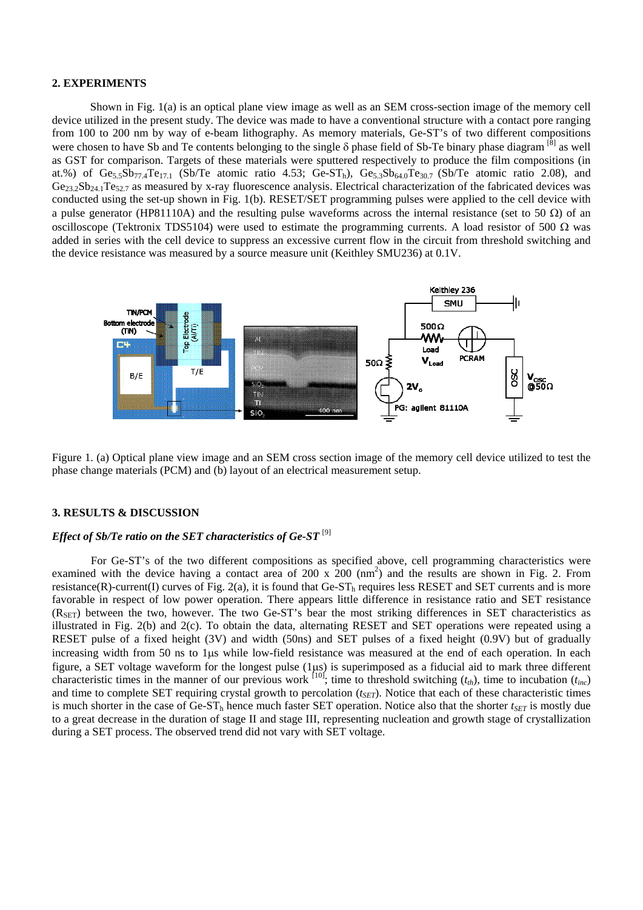## **2. EXPERIMENTS**

Shown in Fig. 1(a) is an optical plane view image as well as an SEM cross-section image of the memory cell device utilized in the present study. The device was made to have a conventional structure with a contact pore ranging from 100 to 200 nm by way of e-beam lithography. As memory materials, Ge-ST's of two different compositions were chosen to have Sb and Te contents belonging to the single  $\delta$  phase field of Sb-Te binary phase diagram [8] as well as GST for comparison. Targets of these materials were sputtered respectively to produce the film compositions (in at.%) of  $Ge_{5.5}Sb_{77.4}Te_{17.1}$  (Sb/Te atomic ratio 4.53; Ge-ST<sub>h</sub>),  $Ge_{5.3}Sb_{64.0}Te_{30.7}$  (Sb/Te atomic ratio 2.08), and  $Ge_{23.2}Sb_{24.1}Te_{52.7}$  as measured by x-ray fluorescence analysis. Electrical characterization of the fabricated devices was conducted using the set-up shown in Fig. 1(b). RESET/SET programming pulses were applied to the cell device with a pulse generator (HP81110A) and the resulting pulse waveforms across the internal resistance (set to 50 Ω) of an oscilloscope (Tektronix TDS5104) were used to estimate the programming currents. A load resistor of 500  $\Omega$  was added in series with the cell device to suppress an excessive current flow in the circuit from threshold switching and the device resistance was measured by a source measure unit (Keithley SMU236) at 0.1V.



Figure 1. (a) Optical plane view image and an SEM cross section image of the memory cell device utilized to test the phase change materials (PCM) and (b) layout of an electrical measurement setup.

#### **3. RESULTS & DISCUSSION**

# *Effect of Sb/Te ratio on the SET characteristics of Ge-ST* [9]

For Ge-ST's of the two different compositions as specified above, cell programming characteristics were examined with the device having a contact area of 200 x  $200 \text{ (nm}^2)$  and the results are shown in Fig. 2. From resistance(R)-current(I) curves of Fig. 2(a), it is found that  $Ge-ST<sub>h</sub>$  requires less RESET and SET currents and is more favorable in respect of low power operation. There appears little difference in resistance ratio and SET resistance  $(R<sub>SET</sub>)$  between the two, however. The two Ge-ST's bear the most striking differences in SET characteristics as illustrated in Fig. 2(b) and 2(c). To obtain the data, alternating RESET and SET operations were repeated using a RESET pulse of a fixed height (3V) and width (50ns) and SET pulses of a fixed height (0.9V) but of gradually increasing width from 50 ns to 1μs while low-field resistance was measured at the end of each operation. In each figure, a SET voltage waveform for the longest pulse (1μs) is superimposed as a fiducial aid to mark three different characteristic times in the manner of our previous work  $\begin{bmatrix} 10 \\ 10 \end{bmatrix}$ ; time to threshold switching  $(t<sub>th</sub>)$ , time to incubation  $(t<sub>inc</sub>)$ and time to complete SET requiring crystal growth to percolation  $(t_{SET})$ . Notice that each of these characteristic times is much shorter in the case of Ge-ST<sub>h</sub> hence much faster SET operation. Notice also that the shorter  $t_{SFT}$  is mostly due to a great decrease in the duration of stage II and stage III, representing nucleation and growth stage of crystallization during a SET process. The observed trend did not vary with SET voltage.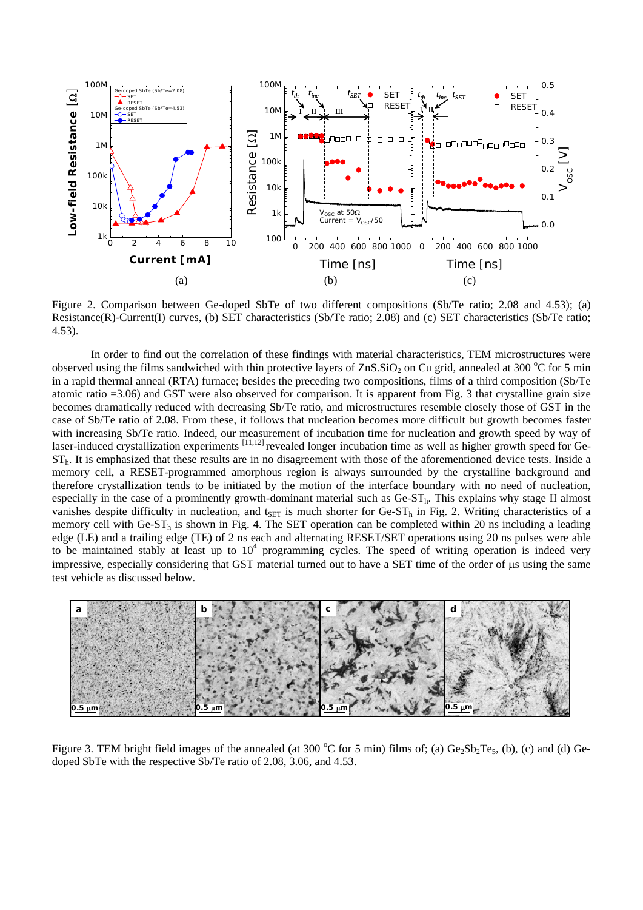

Figure 2. Comparison between Ge-doped SbTe of two different compositions (Sb/Te ratio; 2.08 and 4.53); (a) Resistance(R)-Current(I) curves, (b) SET characteristics (Sb/Te ratio; 2.08) and (c) SET characteristics (Sb/Te ratio; 4.53).

In order to find out the correlation of these findings with material characteristics, TEM microstructures were observed using the films sandwiched with thin protective layers of  $ZnS.SiO<sub>2</sub>$  on Cu grid, annealed at 300 °C for 5 min in a rapid thermal anneal (RTA) furnace; besides the preceding two compositions, films of a third composition (Sb/Te atomic ratio =3.06) and GST were also observed for comparison. It is apparent from Fig. 3 that crystalline grain size becomes dramatically reduced with decreasing Sb/Te ratio, and microstructures resemble closely those of GST in the case of Sb/Te ratio of 2.08. From these, it follows that nucleation becomes more difficult but growth becomes faster with increasing Sb/Te ratio. Indeed, our measurement of incubation time for nucleation and growth speed by way of laser-induced crystallization experiments [11,12] revealed longer incubation time as well as higher growth speed for Ge- $ST<sub>h</sub>$ . It is emphasized that these results are in no disagreement with those of the aforementioned device tests. Inside a memory cell, a RESET-programmed amorphous region is always surrounded by the crystalline background and therefore crystallization tends to be initiated by the motion of the interface boundary with no need of nucleation, especially in the case of a prominently growth-dominant material such as  $Ge-ST_h$ . This explains why stage II almost vanishes despite difficulty in nucleation, and  $t_{\text{SET}}$  is much shorter for Ge-ST<sub>h</sub> in Fig. 2. Writing characteristics of a memory cell with  $Ge-ST<sub>h</sub>$  is shown in Fig. 4. The SET operation can be completed within 20 ns including a leading edge (LE) and a trailing edge (TE) of 2 ns each and alternating RESET/SET operations using 20 ns pulses were able to be maintained stably at least up to  $10<sup>4</sup>$  programming cycles. The speed of writing operation is indeed very impressive, especially considering that GST material turned out to have a SET time of the order of μs using the same test vehicle as discussed below.



Figure 3. TEM bright field images of the annealed (at 300  $^{\circ}$ C for 5 min) films of; (a)  $Ge_2Sb_2Te_5$ , (b), (c) and (d) Gedoped SbTe with the respective Sb/Te ratio of 2.08, 3.06, and 4.53.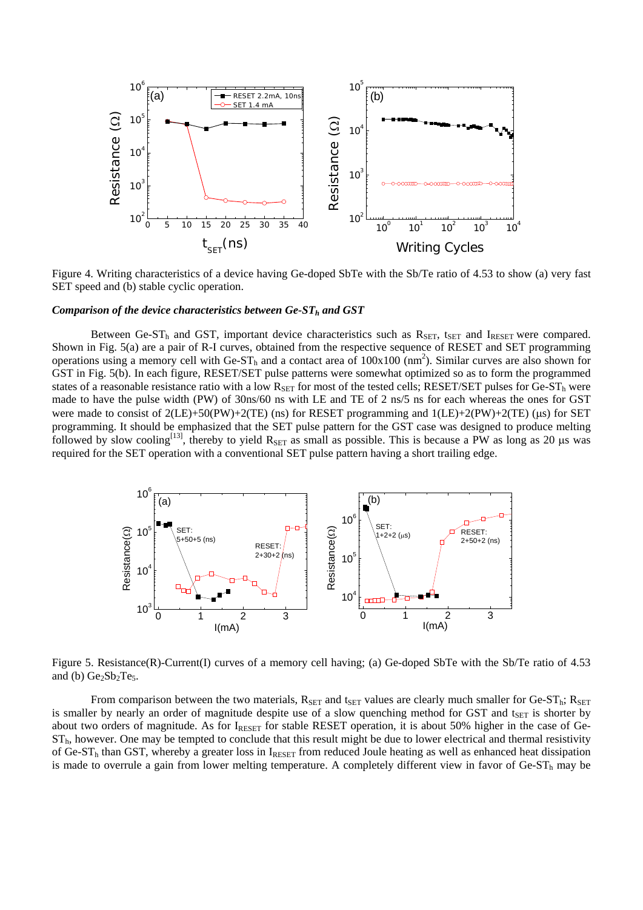

Figure 4. Writing characteristics of a device having Ge-doped SbTe with the Sb/Te ratio of 4.53 to show (a) very fast SET speed and (b) stable cyclic operation.

#### *Comparison of the device characteristics between Ge-ST<sub>h</sub> and GST*

Between Ge-ST<sub>h</sub> and GST, important device characteristics such as  $R_{SET}$ , t<sub>SET</sub> and I<sub>RESET</sub> were compared. Shown in Fig. 5(a) are a pair of R-I curves, obtained from the respective sequence of RESET and SET programming operations using a memory cell with Ge-ST<sub>h</sub> and a contact area of  $100x100$  (nm<sup>2</sup>). Similar curves are also shown for GST in Fig. 5(b). In each figure, RESET/SET pulse patterns were somewhat optimized so as to form the programmed states of a reasonable resistance ratio with a low  $R_{\text{SET}}$  for most of the tested cells; RESET/SET pulses for Ge-ST<sub>h</sub> were made to have the pulse width (PW) of 30ns/60 ns with LE and TE of 2 ns/5 ns for each whereas the ones for GST were made to consist of  $2(LE)+50(PW)+2(TE)$  (ns) for RESET programming and  $1(LE)+2(PW)+2(TE)$  (µs) for SET programming. It should be emphasized that the SET pulse pattern for the GST case was designed to produce melting followed by slow cooling<sup>[13]</sup>, thereby to yield  $R_{\text{SET}}$  as small as possible. This is because a PW as long as 20 µs was required for the SET operation with a conventional SET pulse pattern having a short trailing edge.



Figure 5. Resistance(R)-Current(I) curves of a memory cell having; (a) Ge-doped SbTe with the Sb/Te ratio of 4.53 and (b)  $Ge_2Sb_2Te_5$ .

From comparison between the two materials,  $R_{\text{SET}}$  and t<sub>SET</sub> values are clearly much smaller for Ge-ST<sub>h</sub>;  $R_{\text{SET}}$ is smaller by nearly an order of magnitude despite use of a slow quenching method for GST and  $t_{\text{SET}}$  is shorter by about two orders of magnitude. As for IRESET for stable RESET operation, it is about 50% higher in the case of Ge- $ST<sub>h</sub>$ , however. One may be tempted to conclude that this result might be due to lower electrical and thermal resistivity of Ge-ST<sub>h</sub> than GST, whereby a greater loss in IRESET from reduced Joule heating as well as enhanced heat dissipation is made to overrule a gain from lower melting temperature. A completely different view in favor of  $Ge-ST<sub>h</sub>$  may be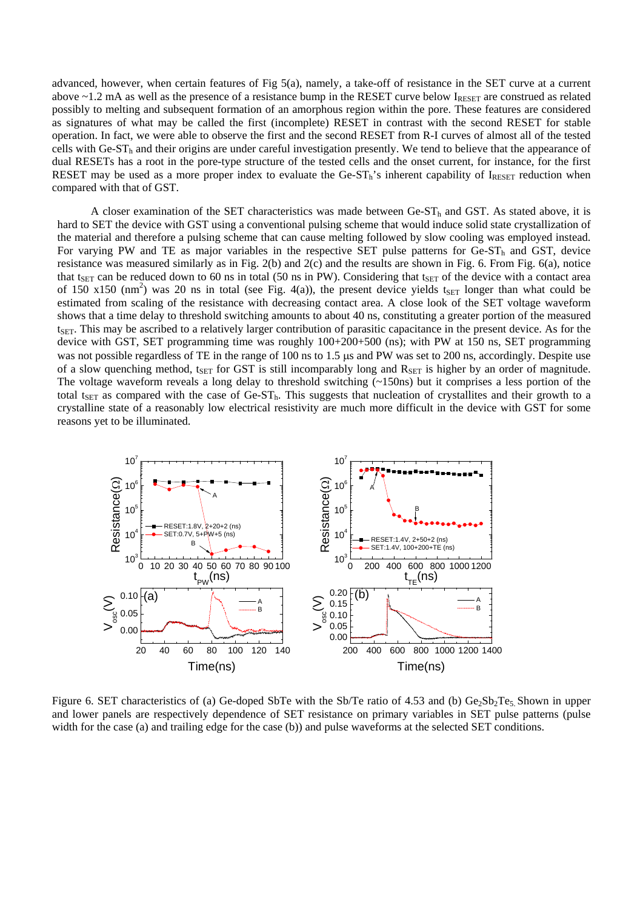advanced, however, when certain features of Fig 5(a), namely, a take-off of resistance in the SET curve at a current above  $\sim$ 1.2 mA as well as the presence of a resistance bump in the RESET curve below  $I_{\text{RESET}}$  are construed as related possibly to melting and subsequent formation of an amorphous region within the pore. These features are considered as signatures of what may be called the first (incomplete) RESET in contrast with the second RESET for stable operation. In fact, we were able to observe the first and the second RESET from R-I curves of almost all of the tested cells with Ge-ST<sub>h</sub> and their origins are under careful investigation presently. We tend to believe that the appearance of dual RESETs has a root in the pore-type structure of the tested cells and the onset current, for instance, for the first RESET may be used as a more proper index to evaluate the Ge-ST<sub>h</sub>'s inherent capability of I<sub>RESET</sub> reduction when compared with that of GST.

A closer examination of the SET characteristics was made between Ge-ST<sub>h</sub> and GST. As stated above, it is hard to SET the device with GST using a conventional pulsing scheme that would induce solid state crystallization of the material and therefore a pulsing scheme that can cause melting followed by slow cooling was employed instead. For varying PW and TE as major variables in the respective SET pulse patterns for Ge-ST<sub>h</sub> and GST, device resistance was measured similarly as in Fig. 2(b) and 2(c) and the results are shown in Fig. 6. From Fig. 6(a), notice that t<sub>SET</sub> can be reduced down to 60 ns in total (50 ns in PW). Considering that t<sub>SET</sub> of the device with a contact area of 150 x150 (nm<sup>2</sup>) was 20 ns in total (see Fig. 4(a)), the present device yields t<sub>SET</sub> longer than what could be estimated from scaling of the resistance with decreasing contact area. A close look of the SET voltage waveform shows that a time delay to threshold switching amounts to about 40 ns, constituting a greater portion of the measured  $t<sub>SET</sub>$ . This may be ascribed to a relatively larger contribution of parasitic capacitance in the present device. As for the device with GST, SET programming time was roughly  $100+200+500$  (ns); with PW at 150 ns, SET programming was not possible regardless of TE in the range of 100 ns to 1.5 μs and PW was set to 200 ns, accordingly. Despite use of a slow quenching method, t<sub>SET</sub> for GST is still incomparably long and  $R_{SET}$  is higher by an order of magnitude. The voltage waveform reveals a long delay to threshold switching (~150ns) but it comprises a less portion of the total t<sub>SET</sub> as compared with the case of Ge-ST<sub>h</sub>. This suggests that nucleation of crystallites and their growth to a crystalline state of a reasonably low electrical resistivity are much more difficult in the device with GST for some reasons yet to be illuminated.



Figure 6. SET characteristics of (a) Ge-doped SbTe with the Sb/Te ratio of 4.53 and (b)  $Ge_2Sb_2Te_5$ . Shown in upper and lower panels are respectively dependence of SET resistance on primary variables in SET pulse patterns (pulse width for the case (a) and trailing edge for the case (b)) and pulse waveforms at the selected SET conditions.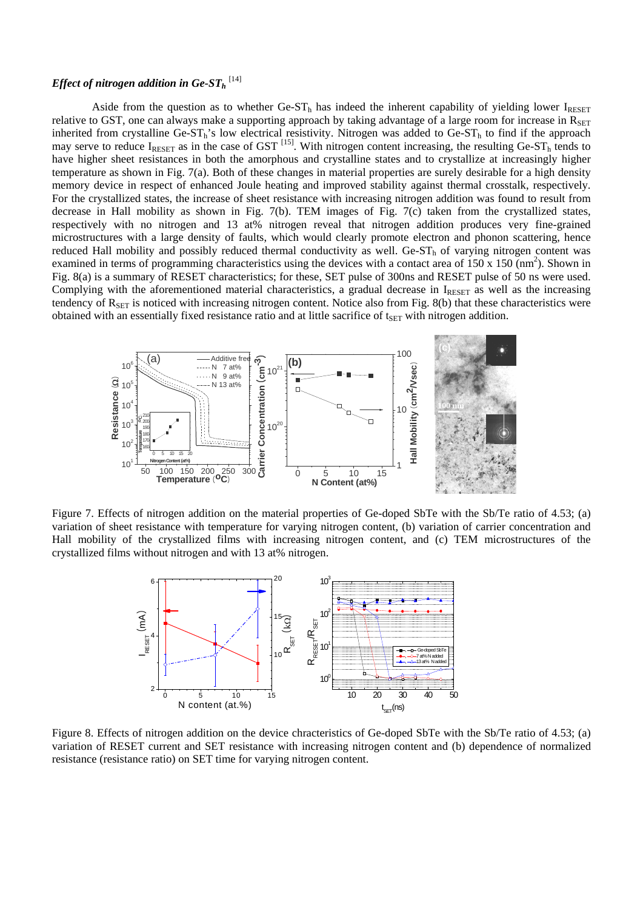# ${\it Effect~of~nitrogen~addition~in~Ge-ST_{h}}~^{[14]}$

Aside from the question as to whether  $Ge-ST<sub>h</sub>$  has indeed the inherent capability of yielding lower  $I_{RESET}$ relative to GST, one can always make a supporting approach by taking advantage of a large room for increase in  $R_{\text{SET}}$ inherited from crystalline Ge-ST<sub>h</sub>'s low electrical resistivity. Nitrogen was added to Ge-ST<sub>h</sub> to find if the approach may serve to reduce  $I_{RESET}$  as in the case of GST  $^{[15]}$ . With nitrogen content increasing, the resulting Ge-ST<sub>h</sub> tends to have higher sheet resistances in both the amorphous and crystalline states and to crystallize at increasingly higher temperature as shown in Fig. 7(a). Both of these changes in material properties are surely desirable for a high density memory device in respect of enhanced Joule heating and improved stability against thermal crosstalk, respectively. For the crystallized states, the increase of sheet resistance with increasing nitrogen addition was found to result from decrease in Hall mobility as shown in Fig. 7(b). TEM images of Fig. 7(c) taken from the crystallized states, respectively with no nitrogen and 13 at% nitrogen reveal that nitrogen addition produces very fine-grained microstructures with a large density of faults, which would clearly promote electron and phonon scattering, hence reduced Hall mobility and possibly reduced thermal conductivity as well. Ge-ST<sub>h</sub> of varying nitrogen content was examined in terms of programming characteristics using the devices with a contact area of  $150 \times 150 \text{ (nm}^2)$ . Shown in Fig. 8(a) is a summary of RESET characteristics; for these, SET pulse of 300ns and RESET pulse of 50 ns were used. Complying with the aforementioned material characteristics, a gradual decrease in  $I_{\text{RESET}}$  as well as the increasing tendency of  $R_{\text{SFT}}$  is noticed with increasing nitrogen content. Notice also from Fig. 8(b) that these characteristics were obtained with an essentially fixed resistance ratio and at little sacrifice of  $t_{\text{SET}}$  with nitrogen addition.



Figure 7. Effects of nitrogen addition on the material properties of Ge-doped SbTe with the Sb/Te ratio of 4.53; (a) variation of sheet resistance with temperature for varying nitrogen content, (b) variation of carrier concentration and Hall mobility of the crystallized films with increasing nitrogen content, and (c) TEM microstructures of the crystallized films without nitrogen and with 13 at% nitrogen.



Figure 8. Effects of nitrogen addition on the device chracteristics of Ge-doped SbTe with the Sb/Te ratio of 4.53; (a) variation of RESET current and SET resistance with increasing nitrogen content and (b) dependence of normalized resistance (resistance ratio) on SET time for varying nitrogen content.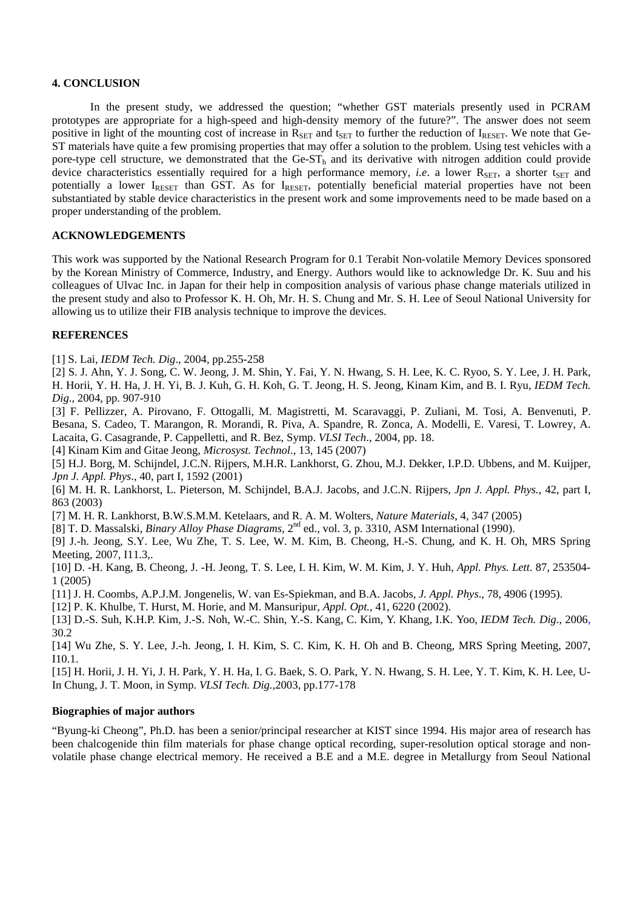# **4. CONCLUSION**

In the present study, we addressed the question; "whether GST materials presently used in PCRAM prototypes are appropriate for a high-speed and high-density memory of the future?". The answer does not seem positive in light of the mounting cost of increase in  $R_{\text{SFT}}$  and t<sub>set</sub> to further the reduction of  $I_{\text{RFSFT}}$ . We note that Ge-ST materials have quite a few promising properties that may offer a solution to the problem. Using test vehicles with a pore-type cell structure, we demonstrated that the Ge-ST<sub>h</sub> and its derivative with nitrogen addition could provide device characteristics essentially required for a high performance memory, *i.e.* a lower  $R_{\text{SFT}}$ , a shorter t<sub>SET</sub> and potentially a lower IRESET than GST. As for IRESET, potentially beneficial material properties have not been substantiated by stable device characteristics in the present work and some improvements need to be made based on a proper understanding of the problem.

# **ACKNOWLEDGEMENTS**

This work was supported by the National Research Program for 0.1 Terabit Non-volatile Memory Devices sponsored by the Korean Ministry of Commerce, Industry, and Energy. Authors would like to acknowledge Dr. K. Suu and his colleagues of Ulvac Inc. in Japan for their help in composition analysis of various phase change materials utilized in the present study and also to Professor K. H. Oh, Mr. H. S. Chung and Mr. S. H. Lee of Seoul National University for allowing us to utilize their FIB analysis technique to improve the devices.

### **REFERENCES**

[1] S. Lai, *IEDM Tech. Dig*., 2004, pp.255-258

[2] S. J. Ahn, Y. J. Song, C. W. Jeong, J. M. Shin, Y. Fai, Y. N. Hwang, S. H. Lee, K. C. Ryoo, S. Y. Lee, J. H. Park, H. Horii, Y. H. Ha, J. H. Yi, B. J. Kuh, G. H. Koh, G. T. Jeong, H. S. Jeong, Kinam Kim, and B. I. Ryu, *IEDM Tech. Dig*., 2004, pp. 907-910

[3] F. Pellizzer, A. Pirovano, F. Ottogalli, M. Magistretti, M. Scaravaggi, P. Zuliani, M. Tosi, A. Benvenuti, P. Besana, S. Cadeo, T. Marangon, R. Morandi, R. Piva, A. Spandre, R. Zonca, A. Modelli, E. Varesi, T. Lowrey, A. Lacaita, G. Casagrande, P. Cappelletti, and R. Bez, Symp. *VLSI Tech*., 2004, pp. 18.

[4] Kinam Kim and Gitae Jeong, *Microsyst. Technol*., 13, 145 (2007)

[5] H.J. Borg, M. Schijndel, J.C.N. Rijpers, M.H.R. Lankhorst, G. Zhou, M.J. Dekker, I.P.D. Ubbens, and M. Kuijper, *Jpn J. Appl. Phys*., 40, part I, 1592 (2001)

[6] M. H. R. Lankhorst, L. Pieterson, M. Schijndel, B.A.J. Jacobs, and J.C.N. Rijpers, *Jpn J. Appl. Phys.*, 42, part I, 863 (2003)

[7] M. H. R. Lankhorst, B.W.S.M.M. Ketelaars, and R. A. M. Wolters, *Nature Materials*, 4, 347 (2005)

[8] T. D. Massalski, *Binary Alloy Phase Diagrams*, 2nd ed., vol. 3, p. 3310, ASM International (1990).

[9] J.-h. Jeong, S.Y. Lee, Wu Zhe, T. S. Lee, W. M. Kim, B. Cheong, H.-S. Chung, and K. H. Oh, MRS Spring Meeting, 2007, I11.3,.

[10] D. -H. Kang, B. Cheong, J. -H. Jeong, T. S. Lee, I. H. Kim, W. M. Kim, J. Y. Huh, *Appl. Phys. Lett*. 87, 253504- 1 (2005)

[11] J. H. Coombs, A.P.J.M. Jongenelis, W. van Es-Spiekman, and B.A. Jacobs, *J. Appl. Phys*., 78, 4906 (1995).

[12] P. K. Khulbe, T. Hurst, M. Horie, and M. Mansuripur, *Appl. Opt.,* 41, 6220 (2002).

[13] D.-S. Suh, K.H.P. Kim, J.-S. Noh, W.-C. Shin, Y.-S. Kang, C. Kim, Y. Khang, I.K. Yoo, *IEDM Tech. Dig*., 2006, 30.2

[14] Wu Zhe, S. Y. Lee, J.-h. Jeong, I. H. Kim, S. C. Kim, K. H. Oh and B. Cheong, MRS Spring Meeting, 2007, I10.1.

[15] H. Horii, J. H. Yi, J. H. Park, Y. H. Ha, I. G. Baek, S. O. Park, Y. N. Hwang, S. H. Lee, Y. T. Kim, K. H. Lee, U-In Chung, J. T. Moon, in Symp. *VLSI Tech. Dig.*,2003, pp.177-178

#### **Biographies of major authors**

"Byung-ki Cheong", Ph.D. has been a senior/principal researcher at KIST since 1994. His major area of research has been chalcogenide thin film materials for phase change optical recording, super-resolution optical storage and nonvolatile phase change electrical memory. He received a B.E and a M.E. degree in Metallurgy from Seoul National